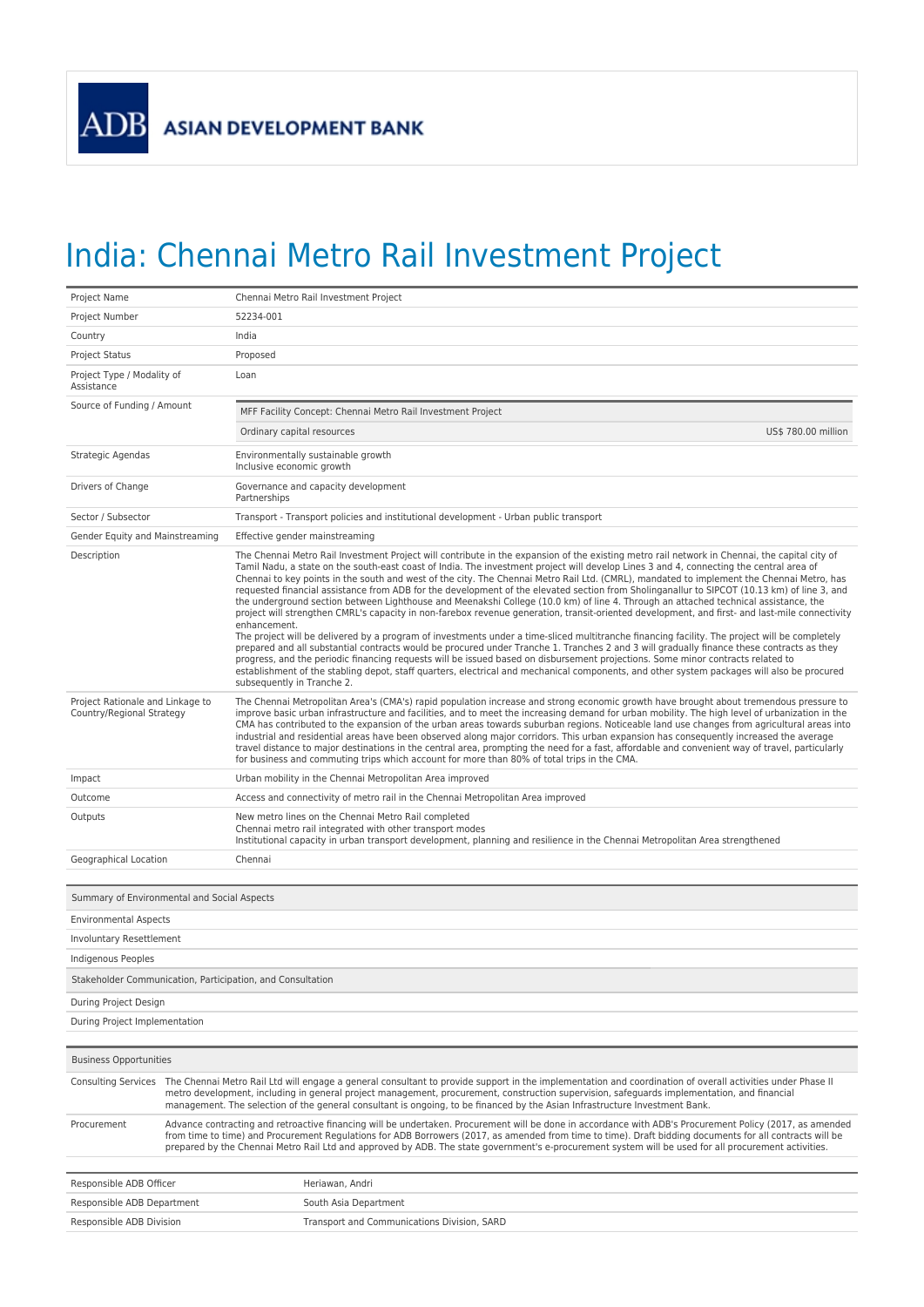## India: Chennai Metro Rail Investment Project

| Project Name                                                  |                                                                                                                                                                                                                                                                                                                                                                                                                                                                              | Chennai Metro Rail Investment Project                                                                                                                                                                                                                                                                                                                                                                                                                                                                                                                                                                                                                                                                                                                                                                                                                                                                                                                                                                                                                                                                                                                                                                                                                                                                                                                                                                                                                                                                      |  |
|---------------------------------------------------------------|------------------------------------------------------------------------------------------------------------------------------------------------------------------------------------------------------------------------------------------------------------------------------------------------------------------------------------------------------------------------------------------------------------------------------------------------------------------------------|------------------------------------------------------------------------------------------------------------------------------------------------------------------------------------------------------------------------------------------------------------------------------------------------------------------------------------------------------------------------------------------------------------------------------------------------------------------------------------------------------------------------------------------------------------------------------------------------------------------------------------------------------------------------------------------------------------------------------------------------------------------------------------------------------------------------------------------------------------------------------------------------------------------------------------------------------------------------------------------------------------------------------------------------------------------------------------------------------------------------------------------------------------------------------------------------------------------------------------------------------------------------------------------------------------------------------------------------------------------------------------------------------------------------------------------------------------------------------------------------------------|--|
| Project Number                                                |                                                                                                                                                                                                                                                                                                                                                                                                                                                                              | 52234-001                                                                                                                                                                                                                                                                                                                                                                                                                                                                                                                                                                                                                                                                                                                                                                                                                                                                                                                                                                                                                                                                                                                                                                                                                                                                                                                                                                                                                                                                                                  |  |
| Country                                                       | India                                                                                                                                                                                                                                                                                                                                                                                                                                                                        |                                                                                                                                                                                                                                                                                                                                                                                                                                                                                                                                                                                                                                                                                                                                                                                                                                                                                                                                                                                                                                                                                                                                                                                                                                                                                                                                                                                                                                                                                                            |  |
| <b>Project Status</b>                                         |                                                                                                                                                                                                                                                                                                                                                                                                                                                                              | Proposed                                                                                                                                                                                                                                                                                                                                                                                                                                                                                                                                                                                                                                                                                                                                                                                                                                                                                                                                                                                                                                                                                                                                                                                                                                                                                                                                                                                                                                                                                                   |  |
| Project Type / Modality of<br>Assistance                      | Loan                                                                                                                                                                                                                                                                                                                                                                                                                                                                         |                                                                                                                                                                                                                                                                                                                                                                                                                                                                                                                                                                                                                                                                                                                                                                                                                                                                                                                                                                                                                                                                                                                                                                                                                                                                                                                                                                                                                                                                                                            |  |
| Source of Funding / Amount                                    |                                                                                                                                                                                                                                                                                                                                                                                                                                                                              | MFF Facility Concept: Chennai Metro Rail Investment Project                                                                                                                                                                                                                                                                                                                                                                                                                                                                                                                                                                                                                                                                                                                                                                                                                                                                                                                                                                                                                                                                                                                                                                                                                                                                                                                                                                                                                                                |  |
|                                                               |                                                                                                                                                                                                                                                                                                                                                                                                                                                                              | US\$ 780.00 million<br>Ordinary capital resources                                                                                                                                                                                                                                                                                                                                                                                                                                                                                                                                                                                                                                                                                                                                                                                                                                                                                                                                                                                                                                                                                                                                                                                                                                                                                                                                                                                                                                                          |  |
| Strategic Agendas                                             |                                                                                                                                                                                                                                                                                                                                                                                                                                                                              | Environmentally sustainable growth<br>Inclusive economic growth                                                                                                                                                                                                                                                                                                                                                                                                                                                                                                                                                                                                                                                                                                                                                                                                                                                                                                                                                                                                                                                                                                                                                                                                                                                                                                                                                                                                                                            |  |
| Drivers of Change                                             |                                                                                                                                                                                                                                                                                                                                                                                                                                                                              | Governance and capacity development<br>Partnerships                                                                                                                                                                                                                                                                                                                                                                                                                                                                                                                                                                                                                                                                                                                                                                                                                                                                                                                                                                                                                                                                                                                                                                                                                                                                                                                                                                                                                                                        |  |
| Sector / Subsector                                            |                                                                                                                                                                                                                                                                                                                                                                                                                                                                              | Transport - Transport policies and institutional development - Urban public transport                                                                                                                                                                                                                                                                                                                                                                                                                                                                                                                                                                                                                                                                                                                                                                                                                                                                                                                                                                                                                                                                                                                                                                                                                                                                                                                                                                                                                      |  |
| Gender Equity and Mainstreaming                               |                                                                                                                                                                                                                                                                                                                                                                                                                                                                              | Effective gender mainstreaming                                                                                                                                                                                                                                                                                                                                                                                                                                                                                                                                                                                                                                                                                                                                                                                                                                                                                                                                                                                                                                                                                                                                                                                                                                                                                                                                                                                                                                                                             |  |
| Description                                                   |                                                                                                                                                                                                                                                                                                                                                                                                                                                                              | The Chennai Metro Rail Investment Project will contribute in the expansion of the existing metro rail network in Chennai, the capital city of<br>Tamil Nadu, a state on the south-east coast of India. The investment project will develop Lines 3 and 4, connecting the central area of<br>Chennai to key points in the south and west of the city. The Chennai Metro Rail Ltd. (CMRL), mandated to implement the Chennai Metro, has<br>requested financial assistance from ADB for the development of the elevated section from Sholinganallur to SIPCOT (10.13 km) of line 3, and<br>the underground section between Lighthouse and Meenakshi College (10.0 km) of line 4. Through an attached technical assistance, the<br>project will strengthen CMRL's capacity in non-farebox revenue generation, transit-oriented development, and first- and last-mile connectivity<br>enhancement.<br>The project will be delivered by a program of investments under a time-sliced multitranche financing facility. The project will be completely<br>prepared and all substantial contracts would be procured under Tranche 1. Tranches 2 and 3 will gradually finance these contracts as they<br>progress, and the periodic financing requests will be issued based on disbursement projections. Some minor contracts related to<br>establishment of the stabling depot, staff quarters, electrical and mechanical components, and other system packages will also be procured<br>subsequently in Tranche 2. |  |
| Project Rationale and Linkage to<br>Country/Regional Strategy |                                                                                                                                                                                                                                                                                                                                                                                                                                                                              | The Chennai Metropolitan Area's (CMA's) rapid population increase and strong economic growth have brought about tremendous pressure to<br>improve basic urban infrastructure and facilities, and to meet the increasing demand for urban mobility. The high level of urbanization in the<br>CMA has contributed to the expansion of the urban areas towards suburban regions. Noticeable land use changes from agricultural areas into<br>industrial and residential areas have been observed along major corridors. This urban expansion has consequently increased the average<br>travel distance to major destinations in the central area, prompting the need for a fast, affordable and convenient way of travel, particularly<br>for business and commuting trips which account for more than 80% of total trips in the CMA.                                                                                                                                                                                                                                                                                                                                                                                                                                                                                                                                                                                                                                                                         |  |
| Impact                                                        |                                                                                                                                                                                                                                                                                                                                                                                                                                                                              | Urban mobility in the Chennai Metropolitan Area improved                                                                                                                                                                                                                                                                                                                                                                                                                                                                                                                                                                                                                                                                                                                                                                                                                                                                                                                                                                                                                                                                                                                                                                                                                                                                                                                                                                                                                                                   |  |
| Outcome                                                       |                                                                                                                                                                                                                                                                                                                                                                                                                                                                              | Access and connectivity of metro rail in the Chennai Metropolitan Area improved                                                                                                                                                                                                                                                                                                                                                                                                                                                                                                                                                                                                                                                                                                                                                                                                                                                                                                                                                                                                                                                                                                                                                                                                                                                                                                                                                                                                                            |  |
| Outputs                                                       |                                                                                                                                                                                                                                                                                                                                                                                                                                                                              | New metro lines on the Chennai Metro Rail completed<br>Chennai metro rail integrated with other transport modes<br>Institutional capacity in urban transport development, planning and resilience in the Chennai Metropolitan Area strengthened                                                                                                                                                                                                                                                                                                                                                                                                                                                                                                                                                                                                                                                                                                                                                                                                                                                                                                                                                                                                                                                                                                                                                                                                                                                            |  |
| Geographical Location                                         |                                                                                                                                                                                                                                                                                                                                                                                                                                                                              | Chennai                                                                                                                                                                                                                                                                                                                                                                                                                                                                                                                                                                                                                                                                                                                                                                                                                                                                                                                                                                                                                                                                                                                                                                                                                                                                                                                                                                                                                                                                                                    |  |
|                                                               |                                                                                                                                                                                                                                                                                                                                                                                                                                                                              |                                                                                                                                                                                                                                                                                                                                                                                                                                                                                                                                                                                                                                                                                                                                                                                                                                                                                                                                                                                                                                                                                                                                                                                                                                                                                                                                                                                                                                                                                                            |  |
| Summary of Environmental and Social Aspects                   |                                                                                                                                                                                                                                                                                                                                                                                                                                                                              |                                                                                                                                                                                                                                                                                                                                                                                                                                                                                                                                                                                                                                                                                                                                                                                                                                                                                                                                                                                                                                                                                                                                                                                                                                                                                                                                                                                                                                                                                                            |  |
| <b>Environmental Aspects</b>                                  |                                                                                                                                                                                                                                                                                                                                                                                                                                                                              |                                                                                                                                                                                                                                                                                                                                                                                                                                                                                                                                                                                                                                                                                                                                                                                                                                                                                                                                                                                                                                                                                                                                                                                                                                                                                                                                                                                                                                                                                                            |  |
| Involuntary Resettlement                                      |                                                                                                                                                                                                                                                                                                                                                                                                                                                                              |                                                                                                                                                                                                                                                                                                                                                                                                                                                                                                                                                                                                                                                                                                                                                                                                                                                                                                                                                                                                                                                                                                                                                                                                                                                                                                                                                                                                                                                                                                            |  |
| <b>Indigenous Peoples</b>                                     |                                                                                                                                                                                                                                                                                                                                                                                                                                                                              |                                                                                                                                                                                                                                                                                                                                                                                                                                                                                                                                                                                                                                                                                                                                                                                                                                                                                                                                                                                                                                                                                                                                                                                                                                                                                                                                                                                                                                                                                                            |  |
| Stakeholder Communication, Participation, and Consultation    |                                                                                                                                                                                                                                                                                                                                                                                                                                                                              |                                                                                                                                                                                                                                                                                                                                                                                                                                                                                                                                                                                                                                                                                                                                                                                                                                                                                                                                                                                                                                                                                                                                                                                                                                                                                                                                                                                                                                                                                                            |  |
| During Project Design                                         |                                                                                                                                                                                                                                                                                                                                                                                                                                                                              |                                                                                                                                                                                                                                                                                                                                                                                                                                                                                                                                                                                                                                                                                                                                                                                                                                                                                                                                                                                                                                                                                                                                                                                                                                                                                                                                                                                                                                                                                                            |  |
| During Project Implementation                                 |                                                                                                                                                                                                                                                                                                                                                                                                                                                                              |                                                                                                                                                                                                                                                                                                                                                                                                                                                                                                                                                                                                                                                                                                                                                                                                                                                                                                                                                                                                                                                                                                                                                                                                                                                                                                                                                                                                                                                                                                            |  |
|                                                               |                                                                                                                                                                                                                                                                                                                                                                                                                                                                              |                                                                                                                                                                                                                                                                                                                                                                                                                                                                                                                                                                                                                                                                                                                                                                                                                                                                                                                                                                                                                                                                                                                                                                                                                                                                                                                                                                                                                                                                                                            |  |
| <b>Business Opportunities</b>                                 |                                                                                                                                                                                                                                                                                                                                                                                                                                                                              |                                                                                                                                                                                                                                                                                                                                                                                                                                                                                                                                                                                                                                                                                                                                                                                                                                                                                                                                                                                                                                                                                                                                                                                                                                                                                                                                                                                                                                                                                                            |  |
|                                                               | Consulting Services The Chennai Metro Rail Ltd will engage a general consultant to provide support in the implementation and coordination of overall activities under Phase II<br>metro development, including in general project management, procurement, construction supervision, safeguards implementation, and financial<br>management. The selection of the general consultant is ongoing, to be financed by the Asian Infrastructure Investment Bank.                 |                                                                                                                                                                                                                                                                                                                                                                                                                                                                                                                                                                                                                                                                                                                                                                                                                                                                                                                                                                                                                                                                                                                                                                                                                                                                                                                                                                                                                                                                                                            |  |
| Procurement                                                   | Advance contracting and retroactive financing will be undertaken. Procurement will be done in accordance with ADB's Procurement Policy (2017, as amended<br>from time to time) and Procurement Regulations for ADB Borrowers (2017, as amended from time to time). Draft bidding documents for all contracts will be<br>prepared by the Chennai Metro Rail Ltd and approved by ADB. The state government's e-procurement system will be used for all procurement activities. |                                                                                                                                                                                                                                                                                                                                                                                                                                                                                                                                                                                                                                                                                                                                                                                                                                                                                                                                                                                                                                                                                                                                                                                                                                                                                                                                                                                                                                                                                                            |  |
| Responsible ADB Officer                                       |                                                                                                                                                                                                                                                                                                                                                                                                                                                                              | Heriawan, Andri                                                                                                                                                                                                                                                                                                                                                                                                                                                                                                                                                                                                                                                                                                                                                                                                                                                                                                                                                                                                                                                                                                                                                                                                                                                                                                                                                                                                                                                                                            |  |
| Responsible ADB Department                                    |                                                                                                                                                                                                                                                                                                                                                                                                                                                                              | South Asia Department                                                                                                                                                                                                                                                                                                                                                                                                                                                                                                                                                                                                                                                                                                                                                                                                                                                                                                                                                                                                                                                                                                                                                                                                                                                                                                                                                                                                                                                                                      |  |
| Responsible ADB Division                                      |                                                                                                                                                                                                                                                                                                                                                                                                                                                                              | Transport and Communications Division, SARD                                                                                                                                                                                                                                                                                                                                                                                                                                                                                                                                                                                                                                                                                                                                                                                                                                                                                                                                                                                                                                                                                                                                                                                                                                                                                                                                                                                                                                                                |  |
|                                                               |                                                                                                                                                                                                                                                                                                                                                                                                                                                                              |                                                                                                                                                                                                                                                                                                                                                                                                                                                                                                                                                                                                                                                                                                                                                                                                                                                                                                                                                                                                                                                                                                                                                                                                                                                                                                                                                                                                                                                                                                            |  |